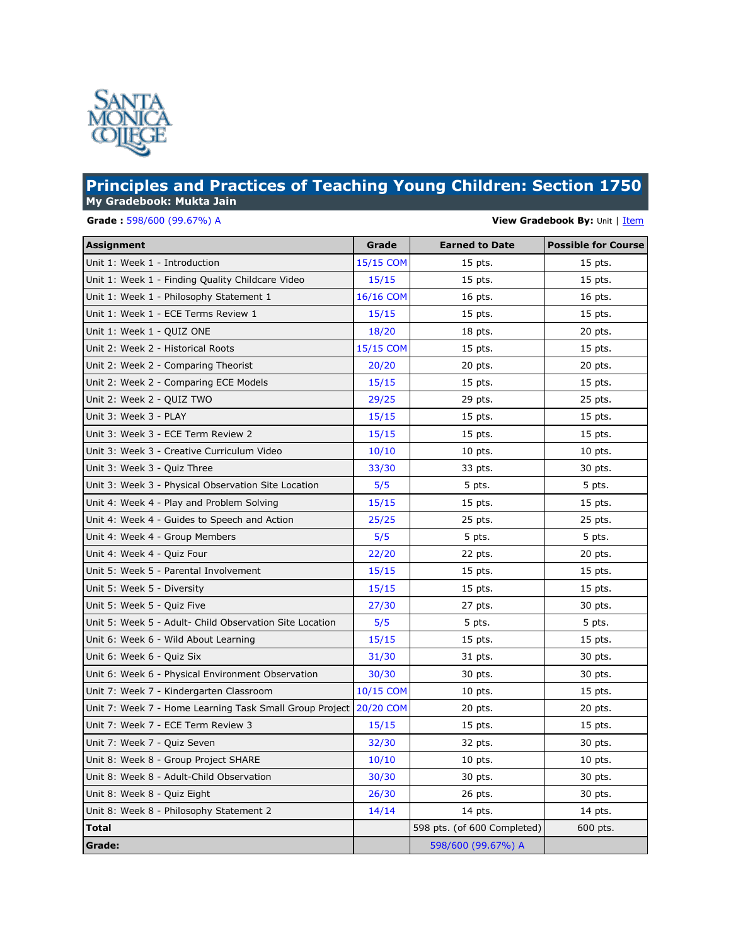

## **Principles and Practices of Teaching Young Children: Section 1750 My Gradebook: Mukta Jain**

**Grade :** 598/600 [\(99.67%\)](javascript:led() A **View Gradebook By:** Unit | [Item](javascript:__doPostBack()

| <b>Assignment</b>                                                 | Grade     | <b>Earned to Date</b>       | <b>Possible for Course</b> |
|-------------------------------------------------------------------|-----------|-----------------------------|----------------------------|
| Unit 1: Week 1 - Introduction                                     | 15/15 COM | 15 pts.                     | 15 pts.                    |
| Unit 1: Week 1 - Finding Quality Childcare Video                  | 15/15     | 15 pts.                     | 15 pts.                    |
| Unit 1: Week 1 - Philosophy Statement 1                           | 16/16 COM | 16 pts.                     | 16 pts.                    |
| Unit 1: Week 1 - ECE Terms Review 1                               | 15/15     | $15$ pts.                   | $15$ pts.                  |
| Unit 1: Week 1 - QUIZ ONE                                         | 18/20     | $18$ pts.                   | 20 pts.                    |
| Unit 2: Week 2 - Historical Roots                                 | 15/15 COM | $15$ pts.                   | $15$ pts.                  |
| Unit 2: Week 2 - Comparing Theorist                               | 20/20     | 20 pts.                     | 20 pts.                    |
| Unit 2: Week 2 - Comparing ECE Models                             | 15/15     | $15$ pts.                   | 15 pts.                    |
| Unit 2: Week 2 - QUIZ TWO                                         | 29/25     | 29 pts.                     | 25 pts.                    |
| Unit 3: Week 3 - PLAY                                             | 15/15     | $15$ pts.                   | $15$ pts.                  |
| Unit 3: Week 3 - ECE Term Review 2                                | 15/15     | 15 pts.                     | 15 pts.                    |
| Unit 3: Week 3 - Creative Curriculum Video                        | 10/10     | 10 pts.                     | 10 pts.                    |
| Unit 3: Week 3 - Quiz Three                                       | 33/30     | 33 pts.                     | 30 pts.                    |
| Unit 3: Week 3 - Physical Observation Site Location               | 5/5       | 5 pts.                      | 5 pts.                     |
| Unit 4: Week 4 - Play and Problem Solving                         | 15/15     | $15$ pts.                   | 15 pts.                    |
| Unit 4: Week 4 - Guides to Speech and Action                      | 25/25     | 25 pts.                     | 25 pts.                    |
| Unit 4: Week 4 - Group Members                                    | 5/5       | 5 pts.                      | 5 pts.                     |
| Unit 4: Week 4 - Quiz Four                                        | 22/20     | 22 pts.                     | 20 pts.                    |
| Unit 5: Week 5 - Parental Involvement                             | 15/15     | 15 pts.                     | 15 pts.                    |
| Unit 5: Week 5 - Diversity                                        | 15/15     | 15 pts.                     | 15 pts.                    |
| Unit 5: Week 5 - Quiz Five                                        | 27/30     | 27 pts.                     | 30 pts.                    |
| Unit 5: Week 5 - Adult- Child Observation Site Location           | 5/5       | 5 pts.                      | 5 pts.                     |
| Unit 6: Week 6 - Wild About Learning                              | 15/15     | 15 pts.                     | 15 pts.                    |
| Unit 6: Week 6 - Quiz Six                                         | 31/30     | 31 pts.                     | 30 pts.                    |
| Unit 6: Week 6 - Physical Environment Observation                 | 30/30     | 30 pts.                     | 30 pts.                    |
| Unit 7: Week 7 - Kindergarten Classroom                           | 10/15 COM | $10$ pts.                   | $15$ pts.                  |
| Unit 7: Week 7 - Home Learning Task Small Group Project 20/20 COM |           | 20 pts.                     | 20 pts.                    |
| Unit 7: Week 7 - ECE Term Review 3                                | 15/15     | $15$ pts.                   | $15$ pts.                  |
| Unit 7: Week 7 - Quiz Seven                                       | 32/30     | 32 pts.                     | 30 pts.                    |
| Unit 8: Week 8 - Group Project SHARE                              | 10/10     | $10$ pts.                   | $10$ pts.                  |
| Unit 8: Week 8 - Adult-Child Observation                          | 30/30     | 30 pts.                     | 30 pts.                    |
| Unit 8: Week 8 - Quiz Eight                                       | 26/30     | 26 pts.                     | 30 pts.                    |
| Unit 8: Week 8 - Philosophy Statement 2                           | 14/14     | $14$ pts.                   | 14 pts.                    |
| Total                                                             |           | 598 pts. (of 600 Completed) | 600 pts.                   |
| Grade:                                                            |           | 598/600 (99.67%) A          |                            |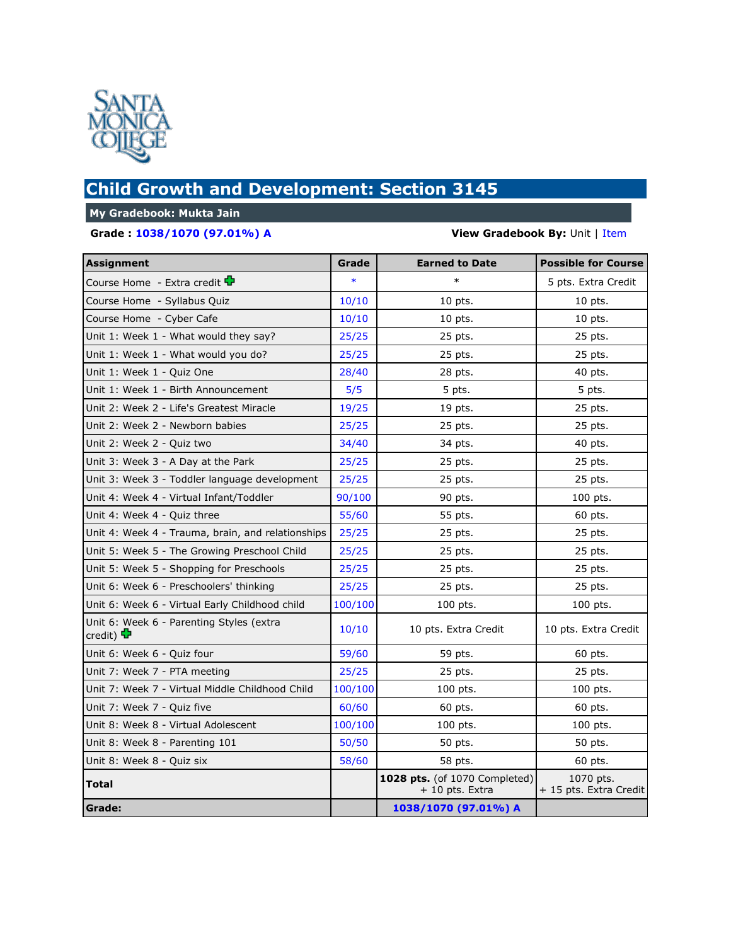

# **Child Growth and Development: Section 3145**

### **My Gradebook: Mukta Jain**

### **Grade : [1038/1070](javascript:led() (97.01%) A View Gradebook By:** Unit | [Item](javascript:__doPostBack()

| <b>Assignment</b>                                                | Grade   | <b>Earned to Date</b>                            | <b>Possible for Course</b>          |
|------------------------------------------------------------------|---------|--------------------------------------------------|-------------------------------------|
| Course Home - Extra credit                                       | $\ast$  | $\ast$                                           | 5 pts. Extra Credit                 |
| Course Home - Syllabus Quiz                                      | 10/10   | $10$ pts.                                        | $10$ pts.                           |
| Course Home - Cyber Cafe                                         | 10/10   | $10$ pts.                                        | 10 pts.                             |
| Unit 1: Week 1 - What would they say?                            | 25/25   | 25 pts.                                          | 25 pts.                             |
| Unit 1: Week 1 - What would you do?                              | 25/25   | 25 pts.                                          | 25 pts.                             |
| Unit 1: Week 1 - Quiz One                                        | 28/40   | 28 pts.                                          | 40 pts.                             |
| Unit 1: Week 1 - Birth Announcement                              | 5/5     | 5 pts.                                           | 5 pts.                              |
| Unit 2: Week 2 - Life's Greatest Miracle                         | 19/25   | 19 pts.                                          | 25 pts.                             |
| Unit 2: Week 2 - Newborn babies                                  | 25/25   | 25 pts.                                          | 25 pts.                             |
| Unit 2: Week 2 - Quiz two                                        | 34/40   | 34 pts.                                          | 40 pts.                             |
| Unit 3: Week 3 - A Day at the Park                               | 25/25   | 25 pts.                                          | 25 pts.                             |
| Unit 3: Week 3 - Toddler language development                    | 25/25   | 25 pts.                                          | 25 pts.                             |
| Unit 4: Week 4 - Virtual Infant/Toddler                          | 90/100  | 90 pts.                                          | 100 pts.                            |
| Unit 4: Week 4 - Quiz three                                      | 55/60   | 55 pts.                                          | 60 pts.                             |
| Unit 4: Week 4 - Trauma, brain, and relationships                | 25/25   | 25 pts.                                          | 25 pts.                             |
| Unit 5: Week 5 - The Growing Preschool Child                     | 25/25   | 25 pts.                                          | 25 pts.                             |
| Unit 5: Week 5 - Shopping for Preschools                         | 25/25   | 25 pts.                                          | 25 pts.                             |
| Unit 6: Week 6 - Preschoolers' thinking                          | 25/25   | 25 pts.                                          | 25 pts.                             |
| Unit 6: Week 6 - Virtual Early Childhood child                   | 100/100 | 100 pts.                                         | 100 pts.                            |
| Unit 6: Week 6 - Parenting Styles (extra<br>credit) <sup>다</sup> | 10/10   | 10 pts. Extra Credit                             | 10 pts. Extra Credit                |
| Unit 6: Week 6 - Quiz four                                       | 59/60   | 59 pts.                                          | 60 pts.                             |
| Unit 7: Week 7 - PTA meeting                                     | 25/25   | 25 pts.                                          | 25 pts.                             |
| Unit 7: Week 7 - Virtual Middle Childhood Child                  | 100/100 | 100 pts.                                         | $100$ pts.                          |
| Unit 7: Week 7 - Quiz five                                       | 60/60   | 60 pts.                                          | 60 pts.                             |
| Unit 8: Week 8 - Virtual Adolescent                              | 100/100 | 100 pts.                                         | 100 pts.                            |
| Unit 8: Week 8 - Parenting 101                                   | 50/50   | 50 pts.                                          | 50 pts.                             |
| Unit 8: Week 8 - Quiz six                                        | 58/60   | 58 pts.                                          | 60 pts.                             |
| Total                                                            |         | 1028 pts. (of 1070 Completed)<br>+ 10 pts. Extra | 1070 pts.<br>+ 15 pts. Extra Credit |
| Grade:                                                           |         | 1038/1070 (97.01%) A                             |                                     |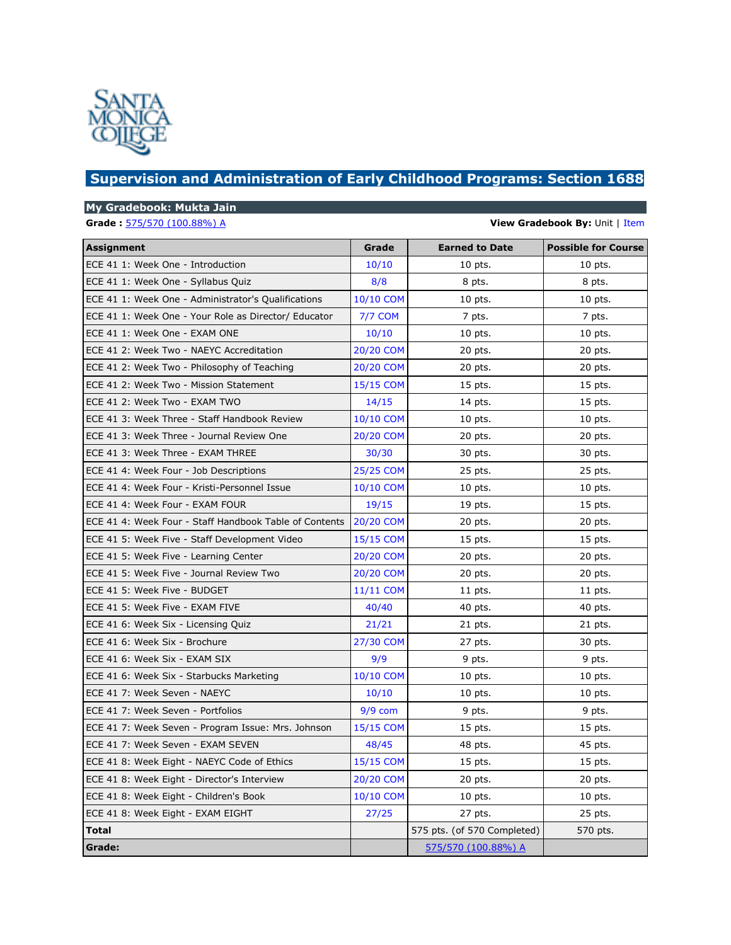

## **Supervision and Administration of Early Childhood Programs: Section 1688**

#### **My Gradebook: Mukta Jain**

#### **Grade :** 575/570 [\(100.88%\) A](javascript:led() **View Gradebook By:** Unit | [Item](javascript:__doPostBack()

| <b>Assignment</b>                                      | Grade          | <b>Earned to Date</b>       | <b>Possible for Course</b> |
|--------------------------------------------------------|----------------|-----------------------------|----------------------------|
| ECE 41 1: Week One - Introduction                      | 10/10          | $10$ pts.                   | $10$ pts.                  |
| ECE 41 1: Week One - Syllabus Quiz                     | 8/8            | 8 pts.                      | 8 pts.                     |
| ECE 41 1: Week One - Administrator's Qualifications    | 10/10 COM      | 10 pts.                     | $10$ pts.                  |
| ECE 41 1: Week One - Your Role as Director/ Educator   | <b>7/7 COM</b> | 7 pts.                      | 7 pts.                     |
| ECE 41 1: Week One - EXAM ONE                          | 10/10          | $10$ pts.                   | $10$ pts.                  |
| ECE 41 2: Week Two - NAEYC Accreditation               | 20/20 COM      | 20 pts.                     | 20 pts.                    |
| ECE 41 2: Week Two - Philosophy of Teaching            | 20/20 COM      | 20 pts.                     | 20 pts.                    |
| ECE 41 2: Week Two - Mission Statement                 | 15/15 COM      | $15$ pts.                   | $15$ pts.                  |
| ECE 41 2: Week Two - EXAM TWO                          | 14/15          | 14 pts.                     | 15 pts.                    |
| ECE 41 3: Week Three - Staff Handbook Review           | 10/10 COM      | 10 pts.                     | 10 pts.                    |
| ECE 41 3: Week Three - Journal Review One              | 20/20 COM      | 20 pts.                     | 20 pts.                    |
| ECE 41 3: Week Three - EXAM THREE                      | 30/30          | 30 pts.                     | 30 pts.                    |
| ECE 41 4: Week Four - Job Descriptions                 | 25/25 COM      | 25 pts.                     | 25 pts.                    |
| ECE 41 4: Week Four - Kristi-Personnel Issue           | 10/10 COM      | 10 pts.                     | 10 pts.                    |
| ECE 41 4: Week Four - EXAM FOUR                        | 19/15          | 19 pts.                     | 15 pts.                    |
| ECE 41 4: Week Four - Staff Handbook Table of Contents | 20/20 COM      | 20 pts.                     | 20 pts.                    |
| ECE 41 5: Week Five - Staff Development Video          | 15/15 COM      | $15$ pts.                   | 15 pts.                    |
| ECE 41 5: Week Five - Learning Center                  | 20/20 COM      | 20 pts.                     | 20 pts.                    |
| ECE 41 5: Week Five - Journal Review Two               | 20/20 COM      | 20 pts.                     | 20 pts.                    |
| ECE 41 5: Week Five - BUDGET                           | 11/11 COM      | $11$ pts.                   | 11 pts.                    |
| ECE 41 5: Week Five - EXAM FIVE                        | 40/40          | 40 pts.                     | 40 pts.                    |
| ECE 41 6: Week Six - Licensing Quiz                    | 21/21          | 21 pts.                     | 21 pts.                    |
| ECE 41 6: Week Six - Brochure                          | 27/30 COM      | 27 pts.                     | 30 pts.                    |
| ECE 41 6: Week Six - EXAM SIX                          | 9/9            | 9 pts.                      | 9 pts.                     |
| ECE 41 6: Week Six - Starbucks Marketing               | 10/10 COM      | 10 pts.                     | 10 pts.                    |
| ECE 41 7: Week Seven - NAEYC                           | 10/10          | $10$ pts.                   | $10$ pts.                  |
| ECE 41 7: Week Seven - Portfolios                      | $9/9$ com      | 9 pts.                      | 9 pts.                     |
| ECE 41 7: Week Seven - Program Issue: Mrs. Johnson     | 15/15 COM      | $15$ pts.                   | 15 pts.                    |
| ECE 41 7: Week Seven - EXAM SEVEN                      | 48/45          | 48 pts.                     | 45 pts.                    |
| ECE 41 8: Week Eight - NAEYC Code of Ethics            | 15/15 COM      | $15$ pts.                   | $15$ pts.                  |
| ECE 41 8: Week Eight - Director's Interview            | 20/20 COM      | 20 pts.                     | 20 pts.                    |
| ECE 41 8: Week Eight - Children's Book                 | 10/10 COM      | $10$ pts.                   | $10$ pts.                  |
| ECE 41 8: Week Eight - EXAM EIGHT                      | 27/25          | 27 pts.                     | 25 pts.                    |
| Total                                                  |                | 575 pts. (of 570 Completed) | 570 pts.                   |
| Grade:                                                 |                | 575/570 (100.88%) A         |                            |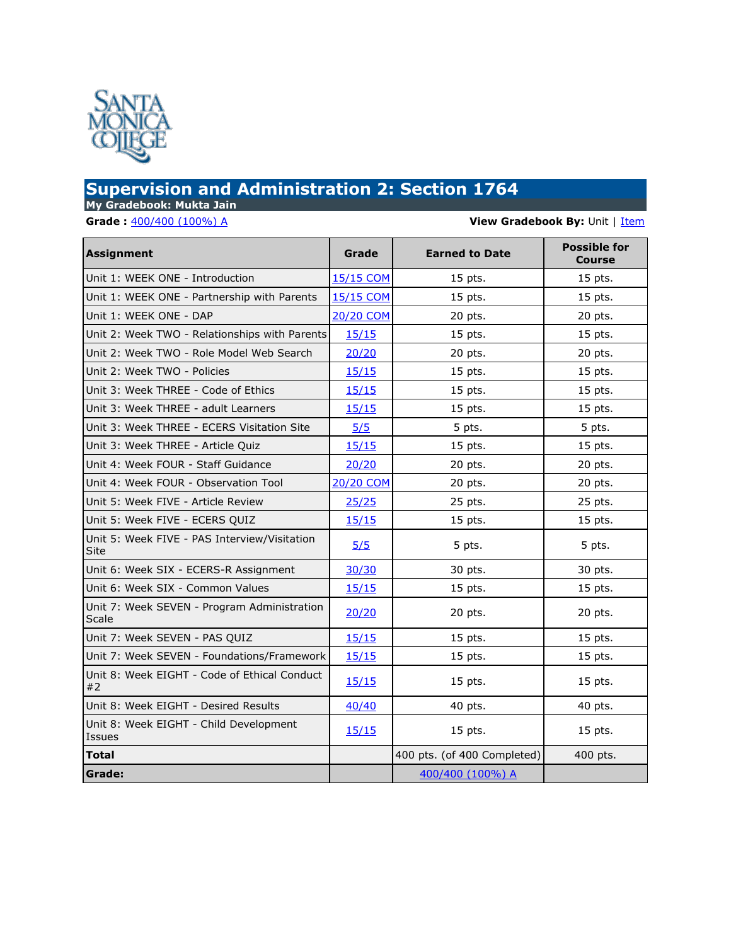

## **Supervision and Administration 2: Section 1764**

**My Gradebook: Mukta Jain**

**Grade :**  $\frac{400}{400}$  (100%) A **View Gradebook By:** Unit | [Item](javascript:__doPostBack()

| <b>Assignment</b>                                       | Grade     | <b>Earned to Date</b>       | <b>Possible for</b><br>Course |
|---------------------------------------------------------|-----------|-----------------------------|-------------------------------|
| Unit 1: WEEK ONE - Introduction                         | 15/15 COM | 15 pts.                     | 15 pts.                       |
| Unit 1: WEEK ONE - Partnership with Parents             | 15/15 COM | 15 pts.                     | 15 pts.                       |
| Unit 1: WEEK ONE - DAP                                  | 20/20 COM | 20 pts.                     | 20 pts.                       |
| Unit 2: Week TWO - Relationships with Parents           | 15/15     | 15 pts.                     | 15 pts.                       |
| Unit 2: Week TWO - Role Model Web Search                | 20/20     | 20 pts.                     | 20 pts.                       |
| Unit 2: Week TWO - Policies                             | 15/15     | 15 pts.                     | 15 pts.                       |
| Unit 3: Week THREE - Code of Ethics                     | 15/15     | 15 pts.                     | $15$ pts.                     |
| Unit 3: Week THREE - adult Learners                     | 15/15     | $15$ pts.                   | $15$ pts.                     |
| Unit 3: Week THREE - ECERS Visitation Site              | 5/5       | 5 pts.                      | 5 pts.                        |
| Unit 3: Week THREE - Article Quiz                       | 15/15     | 15 pts.                     | $15$ pts.                     |
| Unit 4: Week FOUR - Staff Guidance                      | 20/20     | 20 pts.                     | 20 pts.                       |
| Unit 4: Week FOUR - Observation Tool                    | 20/20 COM | 20 pts.                     | 20 pts.                       |
| Unit 5: Week FIVE - Article Review                      | 25/25     | 25 pts.                     | 25 pts.                       |
| Unit 5: Week FIVE - ECERS QUIZ                          | 15/15     | 15 pts.                     | 15 pts.                       |
| Unit 5: Week FIVE - PAS Interview/Visitation<br>Site    | 5/5       | 5 pts.                      | 5 pts.                        |
| Unit 6: Week SIX - ECERS-R Assignment                   | 30/30     | 30 pts.                     | 30 pts.                       |
| Unit 6: Week SIX - Common Values                        | 15/15     | $15$ pts.                   | 15 pts.                       |
| Unit 7: Week SEVEN - Program Administration<br>Scale    | 20/20     | 20 pts.                     | 20 pts.                       |
| Unit 7: Week SEVEN - PAS QUIZ                           | 15/15     | 15 pts.                     | $15$ pts.                     |
| Unit 7: Week SEVEN - Foundations/Framework              | 15/15     | 15 pts.                     | 15 pts.                       |
| Unit 8: Week EIGHT - Code of Ethical Conduct<br>#2      | 15/15     | 15 pts.                     | 15 pts.                       |
| Unit 8: Week EIGHT - Desired Results                    | 40/40     | 40 pts.                     | 40 pts.                       |
| Unit 8: Week EIGHT - Child Development<br><b>Issues</b> | 15/15     | 15 pts.                     | $15$ pts.                     |
| <b>Total</b>                                            |           | 400 pts. (of 400 Completed) | 400 pts.                      |
| Grade:                                                  |           | 400/400 (100%) A            |                               |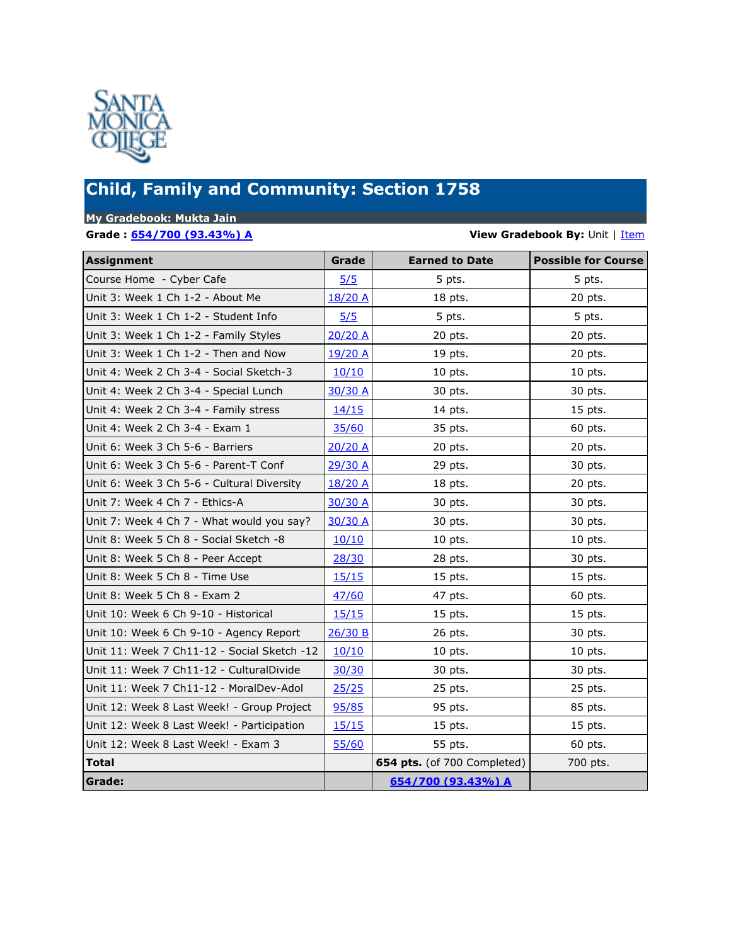

# **Child, Family and Community: Section 1758**

#### **My Gradebook: Mukta Jain**

**Grade** :  $\underline{654/700}$  [\(93.43%\)](javascript:led() A<br> **View Gradebook By:** Unit | <u>[Item](javascript:__doPostBack()</u>

| <b>Assignment</b>                           | Grade        | <b>Earned to Date</b>       | <b>Possible for Course</b> |
|---------------------------------------------|--------------|-----------------------------|----------------------------|
| Course Home - Cyber Cafe                    | 5/5          | 5 pts.                      | 5 pts.                     |
| Unit 3: Week 1 Ch 1-2 - About Me            | 18/20 A      | 18 pts.                     | 20 pts.                    |
| Unit 3: Week 1 Ch 1-2 - Student Info        | 5/5          | 5 pts.                      | 5 pts.                     |
| Unit 3: Week 1 Ch 1-2 - Family Styles       | 20/20A       | 20 pts.                     | 20 pts.                    |
| Unit 3: Week 1 Ch 1-2 - Then and Now        | 19/20 A      | 19 pts.                     | 20 pts.                    |
| Unit 4: Week 2 Ch 3-4 - Social Sketch-3     | <u>10/10</u> | $10$ pts.                   | 10 pts.                    |
| Unit 4: Week 2 Ch 3-4 - Special Lunch       | 30/30 A      | 30 pts.                     | 30 pts.                    |
| Unit 4: Week 2 Ch 3-4 - Family stress       | 14/15        | 14 pts.                     | 15 pts.                    |
| Unit 4: Week 2 Ch 3-4 - Exam 1              | 35/60        | 35 pts.                     | 60 pts.                    |
| Unit 6: Week 3 Ch 5-6 - Barriers            | 20/20 A      | 20 pts.                     | 20 pts.                    |
| Unit 6: Week 3 Ch 5-6 - Parent-T Conf       | 29/30 A      | 29 pts.                     | 30 pts.                    |
| Unit 6: Week 3 Ch 5-6 - Cultural Diversity  | 18/20 A      | $18$ pts.                   | 20 pts.                    |
| Unit 7: Week 4 Ch 7 - Ethics-A              | 30/30 A      | 30 pts.                     | 30 pts.                    |
| Unit 7: Week 4 Ch 7 - What would you say?   | 30/30 A      | 30 pts.                     | 30 pts.                    |
| Unit 8: Week 5 Ch 8 - Social Sketch -8      | 10/10        | $10$ pts.                   | 10 pts.                    |
| Unit 8: Week 5 Ch 8 - Peer Accept           | 28/30        | 28 pts.                     | 30 pts.                    |
| Unit 8: Week 5 Ch 8 - Time Use              | 15/15        | 15 pts.                     | 15 pts.                    |
| Unit 8: Week 5 Ch 8 - Exam 2                | 47/60        | 47 pts.                     | 60 pts.                    |
| Unit 10: Week 6 Ch 9-10 - Historical        | 15/15        | 15 pts.                     | 15 pts.                    |
| Unit 10: Week 6 Ch 9-10 - Agency Report     | 26/30 B      | 26 pts.                     | 30 pts.                    |
| Unit 11: Week 7 Ch11-12 - Social Sketch -12 | 10/10        | 10 pts.                     | 10 pts.                    |
| Unit 11: Week 7 Ch11-12 - CulturalDivide    | 30/30        | 30 pts.                     | 30 pts.                    |
| Unit 11: Week 7 Ch11-12 - MoralDev-Adol     | 25/25        | 25 pts.                     | 25 pts.                    |
| Unit 12: Week 8 Last Week! - Group Project  | 95/85        | 95 pts.                     | 85 pts.                    |
| Unit 12: Week 8 Last Week! - Participation  | 15/15        | 15 pts.                     | $15$ pts.                  |
| Unit 12: Week 8 Last Week! - Exam 3         | 55/60        | 55 pts.                     | 60 pts.                    |
| <b>Total</b>                                |              | 654 pts. (of 700 Completed) | 700 pts.                   |
| <b>Grade:</b>                               |              | 654/700 (93.43%) A          |                            |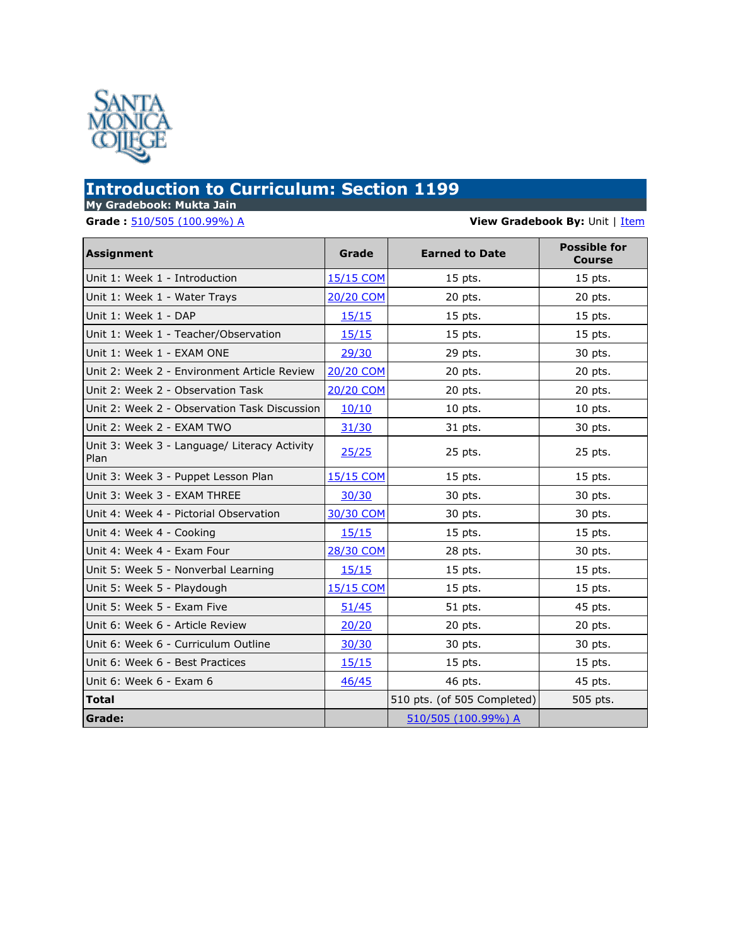

## **Introduction to Curriculum: Section 1199**

**My Gradebook: Mukta Jain**

**Grade :**  $\frac{510/505 (100.99%) A}{I}$  $\frac{510/505 (100.99%) A}{I}$  $\frac{510/505 (100.99%) A}{I}$ 

| <b>Assignment</b>                                    | Grade            | <b>Earned to Date</b>       | <b>Possible for</b><br><b>Course</b> |
|------------------------------------------------------|------------------|-----------------------------|--------------------------------------|
| Unit 1: Week 1 - Introduction                        | 15/15 COM        | 15 pts.                     | 15 pts.                              |
| Unit 1: Week 1 - Water Trays                         | <b>20/20 COM</b> | 20 pts.                     | 20 pts.                              |
| Unit 1: Week 1 - DAP                                 | 15/15            | $15$ pts.                   | 15 pts.                              |
| Unit 1: Week 1 - Teacher/Observation                 | 15/15            | 15 pts.                     | 15 pts.                              |
| Unit 1: Week 1 - EXAM ONE                            | 29/30            | 29 pts.                     | 30 pts.                              |
| Unit 2: Week 2 - Environment Article Review          | <b>20/20 COM</b> | 20 pts.                     | 20 pts.                              |
| Unit 2: Week 2 - Observation Task                    | 20/20 COM        | 20 pts.                     | 20 pts.                              |
| Unit 2: Week 2 - Observation Task Discussion         | 10/10            | 10 pts.                     | 10 pts.                              |
| Unit 2: Week 2 - EXAM TWO                            | 31/30            | 31 pts.                     | 30 pts.                              |
| Unit 3: Week 3 - Language/ Literacy Activity<br>Plan | 25/25            | 25 pts.                     | 25 pts.                              |
| Unit 3: Week 3 - Puppet Lesson Plan                  | 15/15 COM        | 15 pts.                     | 15 pts.                              |
| Unit 3: Week 3 - EXAM THREE                          | 30/30            | 30 pts.                     | 30 pts.                              |
| Unit 4: Week 4 - Pictorial Observation               | 30/30 COM        | 30 pts.                     | 30 pts.                              |
| Unit 4: Week 4 - Cooking                             | 15/15            | 15 pts.                     | 15 pts.                              |
| Unit 4: Week 4 - Exam Four                           | 28/30 COM        | 28 pts.                     | 30 pts.                              |
| Unit 5: Week 5 - Nonverbal Learning                  | 15/15            | 15 pts.                     | $15$ pts.                            |
| Unit 5: Week 5 - Playdough                           | 15/15 COM        | $15$ pts.                   | $15$ pts.                            |
| Unit 5: Week 5 - Exam Five                           | 51/45            | 51 pts.                     | 45 pts.                              |
| Unit 6: Week 6 - Article Review                      | 20/20            | 20 pts.                     | 20 pts.                              |
| Unit 6: Week 6 - Curriculum Outline                  | 30/30            | 30 pts.                     | 30 pts.                              |
| Unit 6: Week 6 - Best Practices                      | 15/15            | 15 pts.                     | 15 pts.                              |
| Unit 6: Week 6 - Exam 6                              | 46/45            | 46 pts.                     | 45 pts.                              |
| <b>Total</b>                                         |                  | 510 pts. (of 505 Completed) | 505 pts.                             |
| Grade:                                               |                  | 510/505 (100.99%) A         |                                      |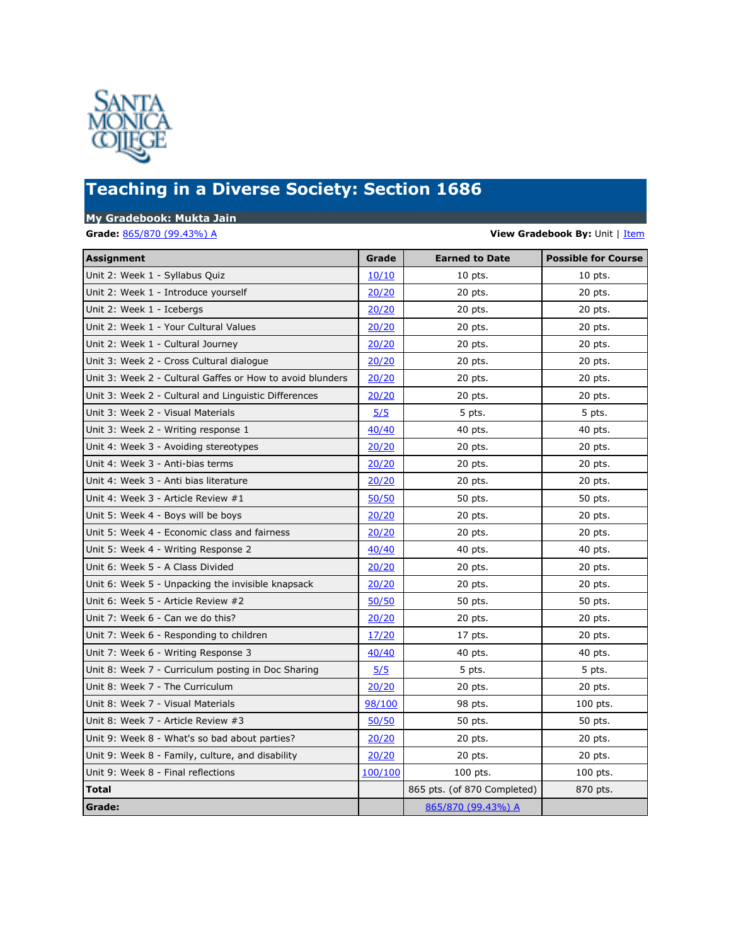

# **Teaching in a Diverse Society: Section 1686**

**My Gradebook: Mukta Jain**

**Grade:** <u>865/870 (99.43%) A</u> **View Gradebook By:** Unit | [Item](javascript:__doPostBack()

| <b>Assignment</b>                                         | Grade   | <b>Earned to Date</b>       | <b>Possible for Course</b> |
|-----------------------------------------------------------|---------|-----------------------------|----------------------------|
| Unit 2: Week 1 - Syllabus Quiz                            | 10/10   | $10$ pts.                   | $10$ pts.                  |
| Unit 2: Week 1 - Introduce yourself                       | 20/20   | 20 pts.                     | 20 pts.                    |
| Unit 2: Week 1 - Icebergs                                 | 20/20   | 20 pts.                     | 20 pts.                    |
| Unit 2: Week 1 - Your Cultural Values                     | 20/20   | 20 pts.                     | 20 pts.                    |
| Unit 2: Week 1 - Cultural Journey                         | 20/20   | 20 pts.                     | 20 pts.                    |
| Unit 3: Week 2 - Cross Cultural dialogue                  | 20/20   | 20 pts.                     | 20 pts.                    |
| Unit 3: Week 2 - Cultural Gaffes or How to avoid blunders | 20/20   | 20 pts.                     | 20 pts.                    |
| Unit 3: Week 2 - Cultural and Linguistic Differences      | 20/20   | 20 pts.                     | 20 pts.                    |
| Unit 3: Week 2 - Visual Materials                         | 5/5     | 5 pts.                      | 5 pts.                     |
| Unit 3: Week 2 - Writing response 1                       | 40/40   | 40 pts.                     | 40 pts.                    |
| Unit 4: Week 3 - Avoiding stereotypes                     | 20/20   | 20 pts.                     | 20 pts.                    |
| Unit 4: Week 3 - Anti-bias terms                          | 20/20   | 20 pts.                     | 20 pts.                    |
| Unit 4: Week 3 - Anti bias literature                     | 20/20   | 20 pts.                     | 20 pts.                    |
| Unit 4: Week 3 - Article Review #1                        | 50/50   | 50 pts.                     | 50 pts.                    |
| Unit 5: Week 4 - Boys will be boys                        | 20/20   | 20 pts.                     | 20 pts.                    |
| Unit 5: Week 4 - Economic class and fairness              | 20/20   | 20 pts.                     | 20 pts.                    |
| Unit 5: Week 4 - Writing Response 2                       | 40/40   | 40 pts.                     | 40 pts.                    |
| Unit 6: Week 5 - A Class Divided                          | 20/20   | 20 pts.                     | 20 pts.                    |
| Unit 6: Week 5 - Unpacking the invisible knapsack         | 20/20   | 20 pts.                     | 20 pts.                    |
| Unit 6: Week 5 - Article Review #2                        | 50/50   | 50 pts.                     | 50 pts.                    |
| Unit 7: Week 6 - Can we do this?                          | 20/20   | 20 pts.                     | 20 pts.                    |
| Unit 7: Week 6 - Responding to children                   | 17/20   | 17 pts.                     | 20 pts.                    |
| Unit 7: Week 6 - Writing Response 3                       | 40/40   | 40 pts.                     | 40 pts.                    |
| Unit 8: Week 7 - Curriculum posting in Doc Sharing        | 5/5     | 5 pts.                      | 5 pts.                     |
| Unit 8: Week 7 - The Curriculum                           | 20/20   | 20 pts.                     | 20 pts.                    |
| Unit 8: Week 7 - Visual Materials                         | 98/100  | 98 pts.                     | 100 pts.                   |
| Unit 8: Week 7 - Article Review #3                        | 50/50   | 50 pts.                     | 50 pts.                    |
| Unit 9: Week 8 - What's so bad about parties?             | 20/20   | 20 pts.                     | 20 pts.                    |
| Unit 9: Week 8 - Family, culture, and disability          | 20/20   | 20 pts.                     | 20 pts.                    |
| Unit 9: Week 8 - Final reflections                        | 100/100 | 100 pts.                    | 100 pts.                   |
| Total                                                     |         | 865 pts. (of 870 Completed) | 870 pts.                   |
| Grade:                                                    |         | 865/870 (99.43%) A          |                            |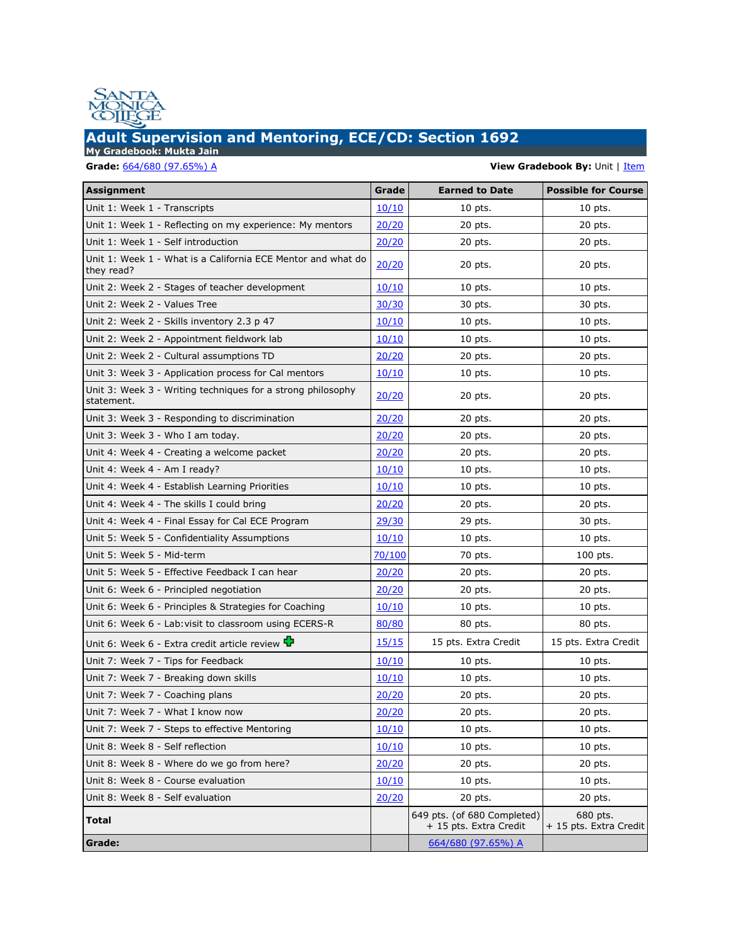

## **Adult Supervision and Mentoring, ECE/CD: Section 1692**

**My Gradebook: Mukta Jain**

**Grade:** 664/680 [\(97.65%\) A](javascript:led() **View Gradebook By:** Unit | [Item](javascript:__doPostBack()

| Assignment                                                                 | Grade        | <b>Earned to Date</b>                                 | <b>Possible for Course</b>         |
|----------------------------------------------------------------------------|--------------|-------------------------------------------------------|------------------------------------|
| Unit 1: Week 1 - Transcripts                                               | 10/10        | $10$ pts.                                             | $10$ pts.                          |
| Unit 1: Week 1 - Reflecting on my experience: My mentors                   | 20/20        | 20 pts.                                               | 20 pts.                            |
| Unit 1: Week 1 - Self introduction                                         | 20/20        | 20 pts.                                               | 20 pts.                            |
| Unit 1: Week 1 - What is a California ECE Mentor and what do<br>they read? | 20/20        | 20 pts.                                               | 20 pts.                            |
| Unit 2: Week 2 - Stages of teacher development                             | 10/10        | $10$ pts.                                             | $10$ pts.                          |
| Unit 2: Week 2 - Values Tree                                               | 30/30        | 30 pts.                                               | 30 pts.                            |
| Unit 2: Week 2 - Skills inventory 2.3 p 47                                 | 10/10        | 10 pts.                                               | 10 pts.                            |
| Unit 2: Week 2 - Appointment fieldwork lab                                 | 10/10        | $10$ pts.                                             | 10 pts.                            |
| Unit 2: Week 2 - Cultural assumptions TD                                   | 20/20        | 20 pts.                                               | 20 pts.                            |
| Unit 3: Week 3 - Application process for Cal mentors                       | 10/10        | $10$ pts.                                             | $10$ pts.                          |
| Unit 3: Week 3 - Writing techniques for a strong philosophy<br>statement.  | 20/20        | 20 pts.                                               | 20 pts.                            |
| Unit 3: Week 3 - Responding to discrimination                              | 20/20        | 20 pts.                                               | 20 pts.                            |
| Unit 3: Week 3 - Who I am today.                                           | 20/20        | 20 pts.                                               | 20 pts.                            |
| Unit 4: Week 4 - Creating a welcome packet                                 | 20/20        | 20 pts.                                               | 20 pts.                            |
| Unit 4: Week 4 - Am I ready?                                               | 10/10        | $10$ pts.                                             | $10$ pts.                          |
| Unit 4: Week 4 - Establish Learning Priorities                             | 10/10        | $10$ pts.                                             | $10$ pts.                          |
| Unit 4: Week 4 - The skills I could bring                                  | 20/20        | 20 pts.                                               | 20 pts.                            |
| Unit 4: Week 4 - Final Essay for Cal ECE Program                           | 29/30        | 29 pts.                                               | 30 pts.                            |
| Unit 5: Week 5 - Confidentiality Assumptions                               | 10/10        | $10$ pts.                                             | 10 pts.                            |
| Unit 5: Week 5 - Mid-term                                                  | 70/100       | 70 pts.                                               | 100 pts.                           |
| Unit 5: Week 5 - Effective Feedback I can hear                             | 20/20        | 20 pts.                                               | 20 pts.                            |
| Unit 6: Week 6 - Principled negotiation                                    | 20/20        | 20 pts.                                               | 20 pts.                            |
| Unit 6: Week 6 - Principles & Strategies for Coaching                      | 10/10        | $10$ pts.                                             | $10$ pts.                          |
| Unit 6: Week 6 - Lab: visit to classroom using ECERS-R                     | 80/80        | 80 pts.                                               | 80 pts.                            |
| Unit 6: Week 6 - Extra credit article review $\Phi$                        | 15/15        | 15 pts. Extra Credit                                  | 15 pts. Extra Credit               |
| Unit 7: Week 7 - Tips for Feedback                                         | 10/10        | $10$ pts.                                             | $10$ pts.                          |
| Unit 7: Week 7 - Breaking down skills                                      | 10/10        | $10$ pts.                                             | $10$ pts.                          |
| Unit 7: Week 7 - Coaching plans                                            | 20/20        | 20 pts.                                               | 20 pts.                            |
| Unit 7: Week 7 - What I know now                                           | 20/20        | 20 pts.                                               | 20 pts.                            |
| Unit 7: Week 7 - Steps to effective Mentoring                              | 10/10        | 10 pts.                                               | 10 pts.                            |
| Unit 8: Week 8 - Self reflection                                           | <u>10/10</u> | 10 pts.                                               | 10 pts.                            |
| Unit 8: Week 8 - Where do we go from here?                                 | 20/20        | 20 pts.                                               | 20 pts.                            |
| Unit 8: Week 8 - Course evaluation                                         | 10/10        | $10$ pts.                                             | 10 pts.                            |
| Unit 8: Week 8 - Self evaluation                                           | 20/20        | 20 pts.                                               | 20 pts.                            |
| <b>Total</b>                                                               |              | 649 pts. (of 680 Completed)<br>+ 15 pts. Extra Credit | 680 pts.<br>+ 15 pts. Extra Credit |
| Grade:                                                                     |              | 664/680 (97.65%) A                                    |                                    |